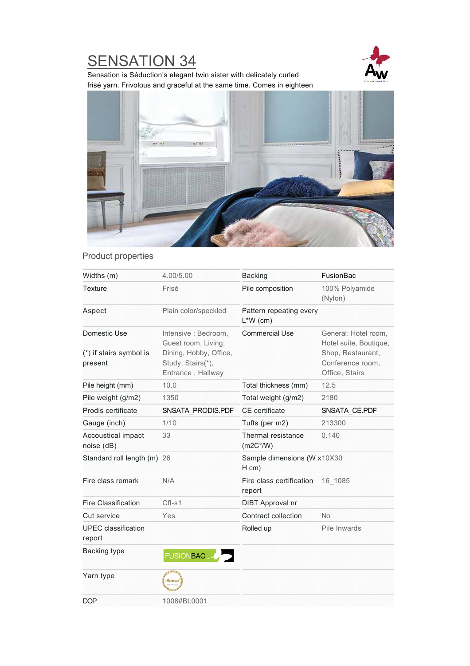## SENSATION 34



Sensation is Séduction's elegant twin sister with delicately curled frisé yarn. Frivolous and graceful at the same time. Comes in eighteen



## Product properties

| Widths (m)                           | 4.00/5.00                                                        | <b>Backing</b>                         | FusionBac                                               |
|--------------------------------------|------------------------------------------------------------------|----------------------------------------|---------------------------------------------------------|
| <b>Texture</b>                       | Frisé                                                            | Pile composition                       | 100% Polyamide<br>(Nylon)                               |
| Aspect                               | Plain color/speckled                                             | Pattern repeating every<br>$L^*W$ (cm) |                                                         |
| Domestic Use                         | Intensive : Bedroom,<br>Guest room, Living,                      | <b>Commercial Use</b>                  | General: Hotel room,<br>Hotel suite, Boutique,          |
| (*) if stairs symbol is<br>present   | Dining, Hobby, Office,<br>Study, Stairs(*),<br>Entrance, Hallway |                                        | Shop, Restaurant,<br>Conference room,<br>Office, Stairs |
| Pile height (mm)                     | 10.0                                                             | Total thickness (mm)                   | 12.5                                                    |
| Pile weight (g/m2)                   | 1350                                                             | Total weight (g/m2)                    | 2180                                                    |
| Prodis certificate                   | SNSATA PRODIS.PDF                                                | CE certificate                         | SNSATA CE.PDF                                           |
| Gauge (inch)                         | 1/10                                                             | Tufts (per m2)                         | 213300                                                  |
| Accoustical impact<br>noise (dB)     | 33                                                               | Thermal resistance<br>(m2C°/W)         | 0.140                                                   |
| Standard roll length (m) 26          |                                                                  | Sample dimensions (W x10X30<br>$H$ cm) |                                                         |
| Fire class remark                    | N/A                                                              | Fire class certification<br>report     | 16_1085                                                 |
| <b>Fire Classification</b>           | $Cfl-s1$                                                         | <b>DIBT</b> Approval nr                |                                                         |
| Cut service                          | Yes                                                              | Contract collection                    | <b>No</b>                                               |
| <b>UPEC</b> classification<br>report |                                                                  | Rolled up                              | Pile Inwards                                            |
| Backing type                         | <b>FUSIONBAC</b>                                                 |                                        |                                                         |
| Yarn type                            | <b>iSense</b>                                                    |                                        |                                                         |
| <b>DOP</b>                           | 1008#BL0001                                                      |                                        |                                                         |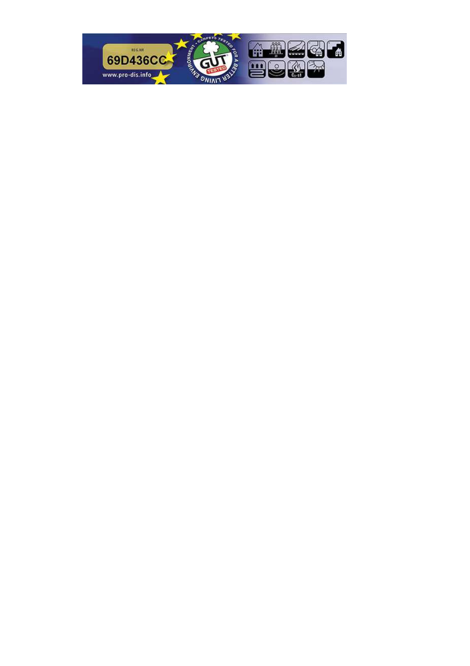